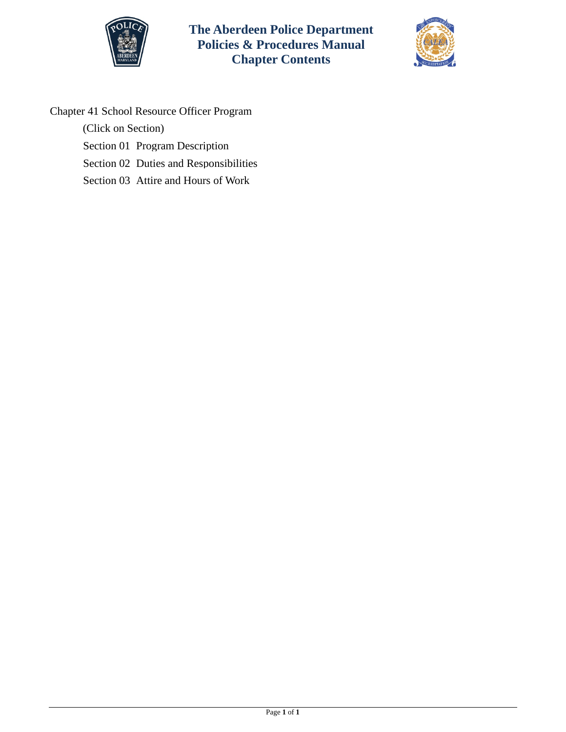



Chapter 41 School Resource Officer Program

(Click on Section)

- [Section 01 Program Description](#page-1-0)
- [Section 02 Duties and Responsibilities](#page-3-0)
- [Section 03 Attire and Hours of Work](#page-5-0)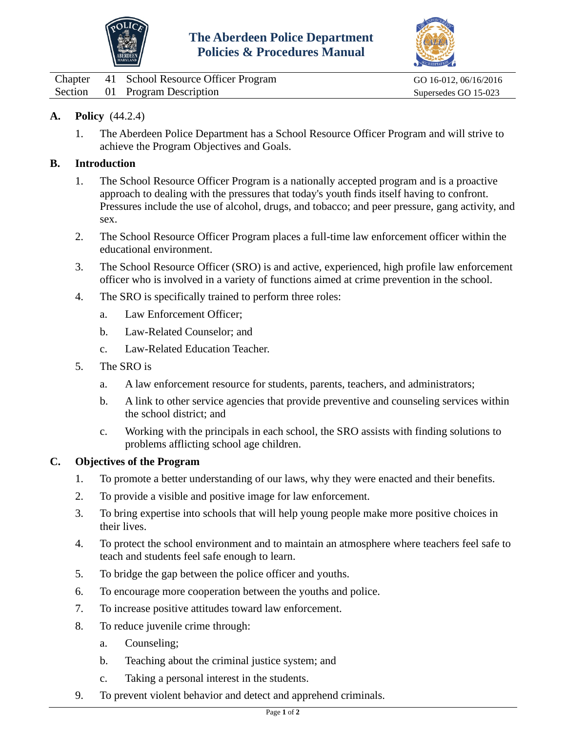



<span id="page-1-0"></span>

|  | Chapter 41 School Resource Officer Program | GO 16-012, 06/16/2016 |
|--|--------------------------------------------|-----------------------|
|  | Section 01 Program Description             | Supersedes GO 15-023  |

# **A. Policy** (44.2.4)

1. The Aberdeen Police Department has a School Resource Officer Program and will strive to achieve the Program Objectives and Goals.

### **B. Introduction**

- 1. The School Resource Officer Program is a nationally accepted program and is a proactive approach to dealing with the pressures that today's youth finds itself having to confront. Pressures include the use of alcohol, drugs, and tobacco; and peer pressure, gang activity, and sex.
- 2. The School Resource Officer Program places a full-time law enforcement officer within the educational environment.
- 3. The School Resource Officer (SRO) is and active, experienced, high profile law enforcement officer who is involved in a variety of functions aimed at crime prevention in the school.
- 4. The SRO is specifically trained to perform three roles:
	- a. Law Enforcement Officer;
	- b. Law-Related Counselor; and
	- c. Law-Related Education Teacher.
- 5. The SRO is
	- a. A law enforcement resource for students, parents, teachers, and administrators;
	- b. A link to other service agencies that provide preventive and counseling services within the school district; and
	- c. Working with the principals in each school, the SRO assists with finding solutions to problems afflicting school age children.

#### **C. Objectives of the Program**

- 1. To promote a better understanding of our laws, why they were enacted and their benefits.
- 2. To provide a visible and positive image for law enforcement.
- 3. To bring expertise into schools that will help young people make more positive choices in their lives.
- 4. To protect the school environment and to maintain an atmosphere where teachers feel safe to teach and students feel safe enough to learn.
- 5. To bridge the gap between the police officer and youths.
- 6. To encourage more cooperation between the youths and police.
- 7. To increase positive attitudes toward law enforcement.
- 8. To reduce juvenile crime through:
	- a. Counseling;
	- b. Teaching about the criminal justice system; and
	- c. Taking a personal interest in the students.
- 9. To prevent violent behavior and detect and apprehend criminals.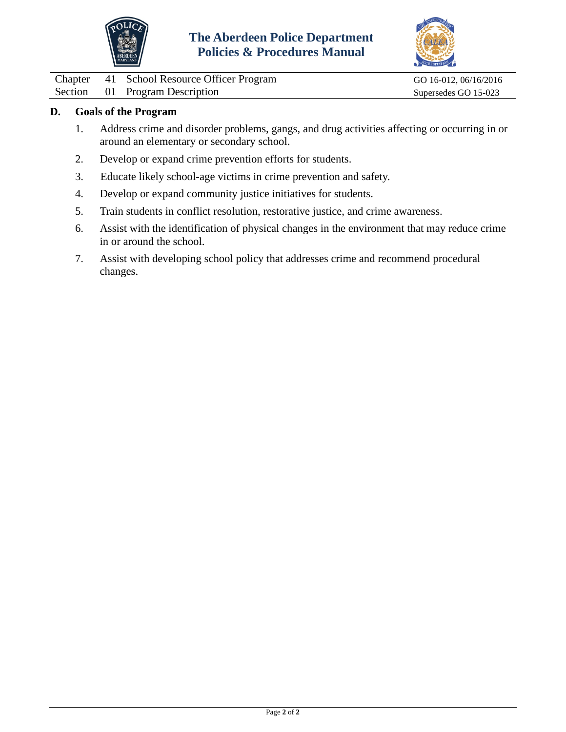



Chapter 41 School Resource Officer Program GO 16-012, 06/16/2016<br>Section 01 Program Description Supersedes GO 15-023

01 Program Description Supersedes GO 15-023

### **D. Goals of the Program**

- 1. Address crime and disorder problems, gangs, and drug activities affecting or occurring in or around an elementary or secondary school.
- 2. Develop or expand crime prevention efforts for students.
- 3. Educate likely school-age victims in crime prevention and safety.
- 4. Develop or expand community justice initiatives for students.
- 5. Train students in conflict resolution, restorative justice, and crime awareness.
- 6. Assist with the identification of physical changes in the environment that may reduce crime in or around the school.
- 7. Assist with developing school policy that addresses crime and recommend procedural changes.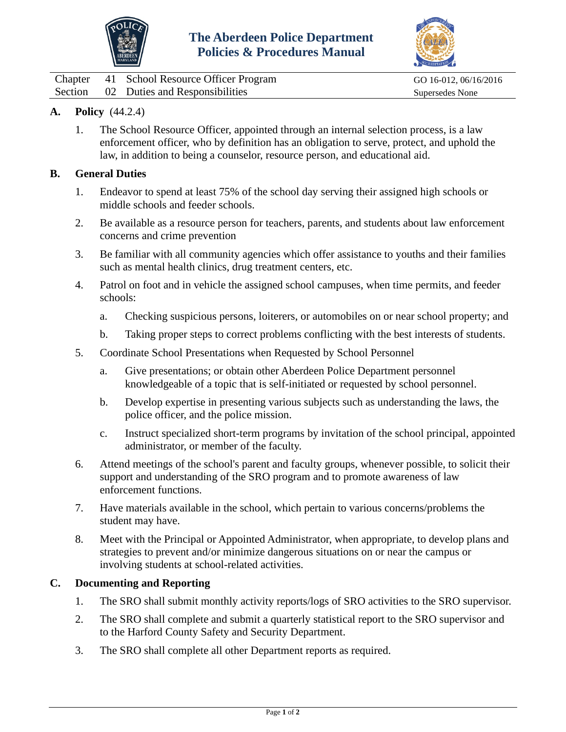



<span id="page-3-0"></span>

|  | Chapter 41 School Resource Officer Program | GO 16-012, 06/16/2016 |
|--|--------------------------------------------|-----------------------|
|  | Section 02 Duties and Responsibilities     | Supersedes None       |

# **A. Policy** (44.2.4)

1. The School Resource Officer, appointed through an internal selection process, is a law enforcement officer, who by definition has an obligation to serve, protect, and uphold the law, in addition to being a counselor, resource person, and educational aid.

#### **B. General Duties**

- 1. Endeavor to spend at least 75% of the school day serving their assigned high schools or middle schools and feeder schools.
- 2. Be available as a resource person for teachers, parents, and students about law enforcement concerns and crime prevention
- 3. Be familiar with all community agencies which offer assistance to youths and their families such as mental health clinics, drug treatment centers, etc.
- 4. Patrol on foot and in vehicle the assigned school campuses, when time permits, and feeder schools:
	- a. Checking suspicious persons, loiterers, or automobiles on or near school property; and
	- b. Taking proper steps to correct problems conflicting with the best interests of students.
- 5. Coordinate School Presentations when Requested by School Personnel
	- a. Give presentations; or obtain other Aberdeen Police Department personnel knowledgeable of a topic that is self-initiated or requested by school personnel.
	- b. Develop expertise in presenting various subjects such as understanding the laws, the police officer, and the police mission.
	- c. Instruct specialized short-term programs by invitation of the school principal, appointed administrator, or member of the faculty.
- 6. Attend meetings of the school's parent and faculty groups, whenever possible, to solicit their support and understanding of the SRO program and to promote awareness of law enforcement functions.
- 7. Have materials available in the school, which pertain to various concerns/problems the student may have.
- 8. Meet with the Principal or Appointed Administrator, when appropriate, to develop plans and strategies to prevent and/or minimize dangerous situations on or near the campus or involving students at school-related activities.

### **C. Documenting and Reporting**

- 1. The SRO shall submit monthly activity reports/logs of SRO activities to the SRO supervisor.
- 2. The SRO shall complete and submit a quarterly statistical report to the SRO supervisor and to the Harford County Safety and Security Department.
- 3. The SRO shall complete all other Department reports as required.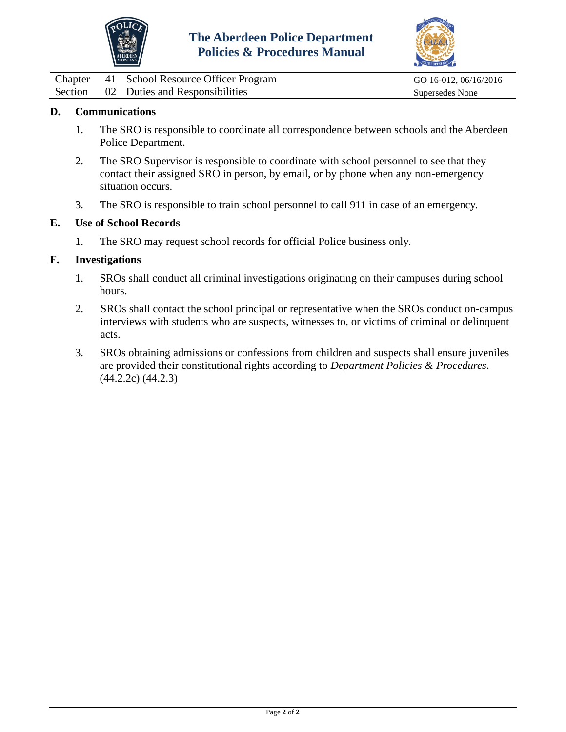



|  | Chapter 41 School Resource Officer Program |
|--|--------------------------------------------|
|  | Section 02 Duties and Responsibilities     |

GO 16-012, 06/16/2016 Supersedes None

## **D. Communications**

- 1. The SRO is responsible to coordinate all correspondence between schools and the Aberdeen Police Department.
- 2. The SRO Supervisor is responsible to coordinate with school personnel to see that they contact their assigned SRO in person, by email, or by phone when any non-emergency situation occurs.
- 3. The SRO is responsible to train school personnel to call 911 in case of an emergency.

#### **E. Use of School Records**

1. The SRO may request school records for official Police business only.

#### **F. Investigations**

- 1. SROs shall conduct all criminal investigations originating on their campuses during school hours.
- 2. SROs shall contact the school principal or representative when the SROs conduct on-campus interviews with students who are suspects, witnesses to, or victims of criminal or delinquent acts.
- 3. SROs obtaining admissions or confessions from children and suspects shall ensure juveniles are provided their constitutional rights according to *Department Policies & Procedures*. (44.2.2c) (44.2.3)